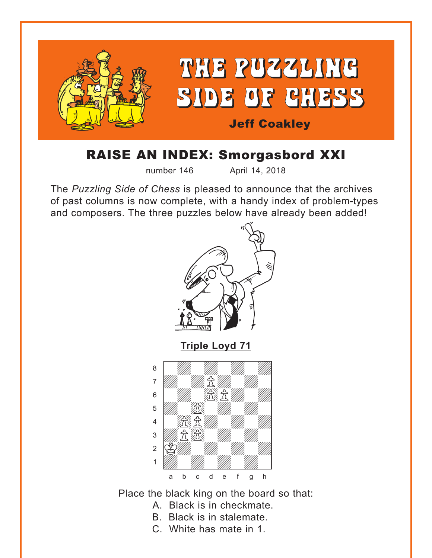<span id="page-0-0"></span>

## RAISE AN INDEX: Smorgasbord XXI

number 146 April 14, 2018

The *Puzzling Side of Chess* is pleased to announce that the archives of past columns is now complete, with a handy index of problem-types and composers. The three puzzles below have already been added!



a b c d e f g h

Place the black king on the board so that:

- A. Black is in checkmate.
- B. Black is in stalemate.
- C. White has mate in 1.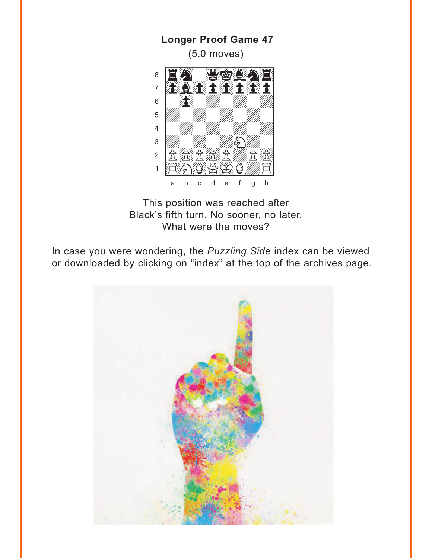## <span id="page-1-0"></span> $(5.0$  moves) **NATIONAL PROPERTY** 8 FLAT TILL TILL  $\overline{7}$  $6\,$ I. 5  $\overline{4}$  $\overline{3}$ رین All March 2007 (1997)<br>The USA, The USA, The USA IS  $\sqrt{2}$ DYYE Ö  $\overline{1}$  $\mathsf{f}$  $\mathsf{g}$  $h$

**Longer Proof Game 47** 

This position was reached after Black's fifth turn. No sooner, no later. What were the moves?

In case you were wondering, the Puzzling Side index can be viewed or downloaded by clicking on "index" at the top of the archives page.

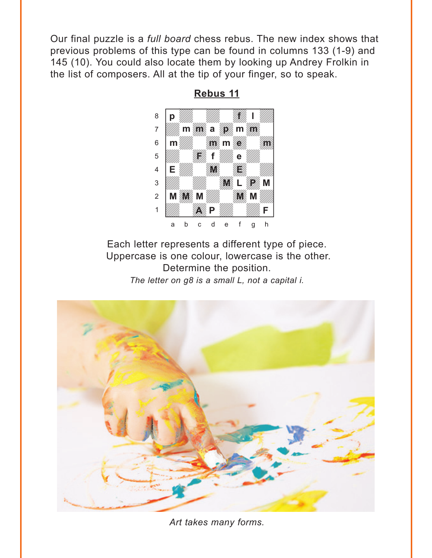<span id="page-2-0"></span>Our final puzzle is a *full board* chess rebus. The new index shows that previous problems of this type can be found in columns 133 (1-9) and 145 (10). You could also locate them by looking up Andrey Frolkin in the list of composers. All at the tip of your finger, so to speak.



**[Rebus 11](#page-5-0)**

Each letter represents a different type of piece. Uppercase is one colour, lowercase is the other. Determine the position. *The letter on g8 is a small L, not a capital i.*



*Art takes many forms.*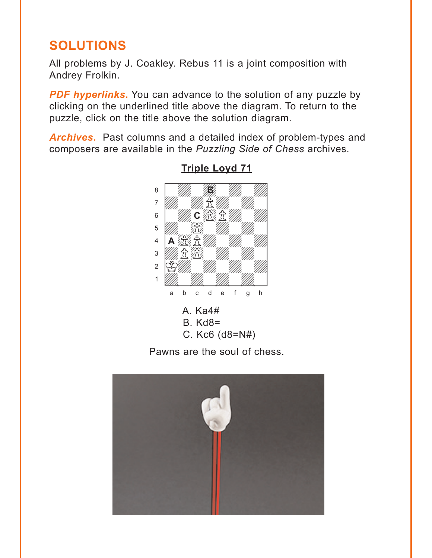## <span id="page-3-0"></span>**SOLUTIONS**

All problems by J. Coakley. Rebus 11 is a joint composition with Andrey Frolkin.

**PDF hyperlinks.** You can advance to the solution of any puzzle by clicking on the underlined title above the diagram. To return to the puzzle, click on the title above the solution diagram.

**Archives.** Past columns and a detailed index of problem-types and composers are available in the Puzzling Side of Chess archives.



**Triple Loyd 71** 

- **B.** Kd8=
- C. Kc6  $(d8=N#)$

Pawns are the soul of chess.

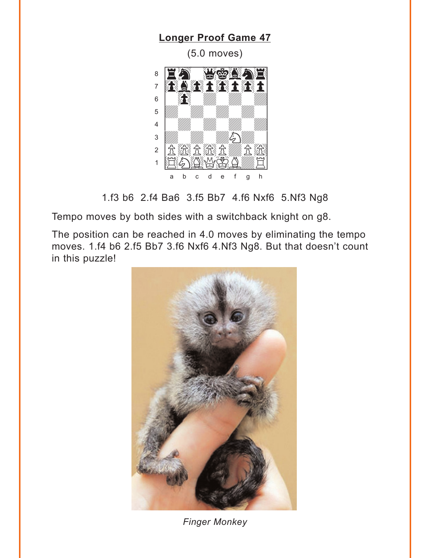## <span id="page-4-0"></span>**Longer Proof Game 47**  $(5.0$  moves) WOOD SE  $\, 8$ EÑ **RARAGARA**  $\overline{7}$ I.  $6\,$ 5  $\overline{4}$  $\mathscr{E}_{\!\!\mathcal{F}}$  $\overline{3}$  $\overline{a}$ Ħ  $\mathbf{1}$ WCD.  $h$ a  $\mathsf{h}$  $\mathbf{C}$ d  $\mathbf{e}$  $f$  $\mathsf{g}$

1.f3 b6 2.f4 Ba6 3.f5 Bb7 4.f6 Nxf6 5.Nf3 Ng8

Tempo moves by both sides with a switchback knight on g8.

The position can be reached in 4.0 moves by eliminating the tempo moves. 1.f4 b6 2.f5 Bb7 3.f6 Nxf6 4.Nf3 Ng8. But that doesn't count in this puzzle!



**Finger Monkey**